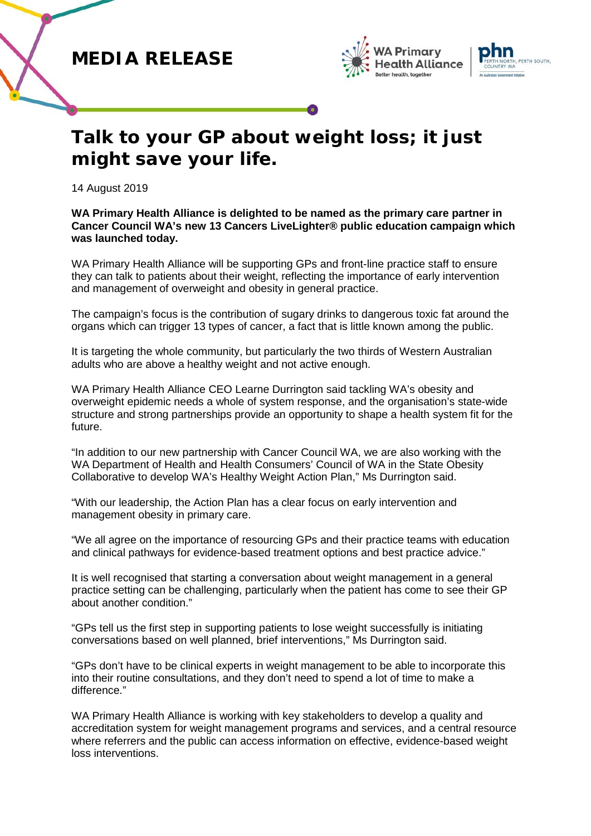





## **Talk to your GP about weight loss; it just might save your life.**

14 August 2019

**WA Primary Health Alliance is delighted to be named as the primary care partner in Cancer Council WA's new 13 Cancers LiveLighter® public education campaign which was launched today.**

WA Primary Health Alliance will be supporting GPs and front-line practice staff to ensure they can talk to patients about their weight, reflecting the importance of early intervention and management of overweight and obesity in general practice.

The campaign's focus is the contribution of sugary drinks to dangerous toxic fat around the organs which can trigger 13 types of cancer, a fact that is little known among the public.

It is targeting the whole community, but particularly the two thirds of Western Australian adults who are above a healthy weight and not active enough.

WA Primary Health Alliance CEO Learne Durrington said tackling WA's obesity and overweight epidemic needs a whole of system response, and the organisation's state-wide structure and strong partnerships provide an opportunity to shape a health system fit for the future.

"In addition to our new partnership with Cancer Council WA, we are also working with the WA Department of Health and Health Consumers' Council of WA in the State Obesity Collaborative to develop WA's Healthy Weight Action Plan," Ms Durrington said.

"With our leadership, the Action Plan has a clear focus on early intervention and management obesity in primary care.

"We all agree on the importance of resourcing GPs and their practice teams with education and clinical pathways for evidence-based treatment options and best practice advice."

It is well recognised that starting a conversation about weight management in a general practice setting can be challenging, particularly when the patient has come to see their GP about another condition."

"GPs tell us the first step in supporting patients to lose weight successfully is initiating conversations based on well planned, brief interventions," Ms Durrington said.

"GPs don't have to be clinical experts in weight management to be able to incorporate this into their routine consultations, and they don't need to spend a lot of time to make a difference."

WA Primary Health Alliance is working with key stakeholders to develop a quality and accreditation system for weight management programs and services, and a central resource where referrers and the public can access information on effective, evidence-based weight loss interventions.